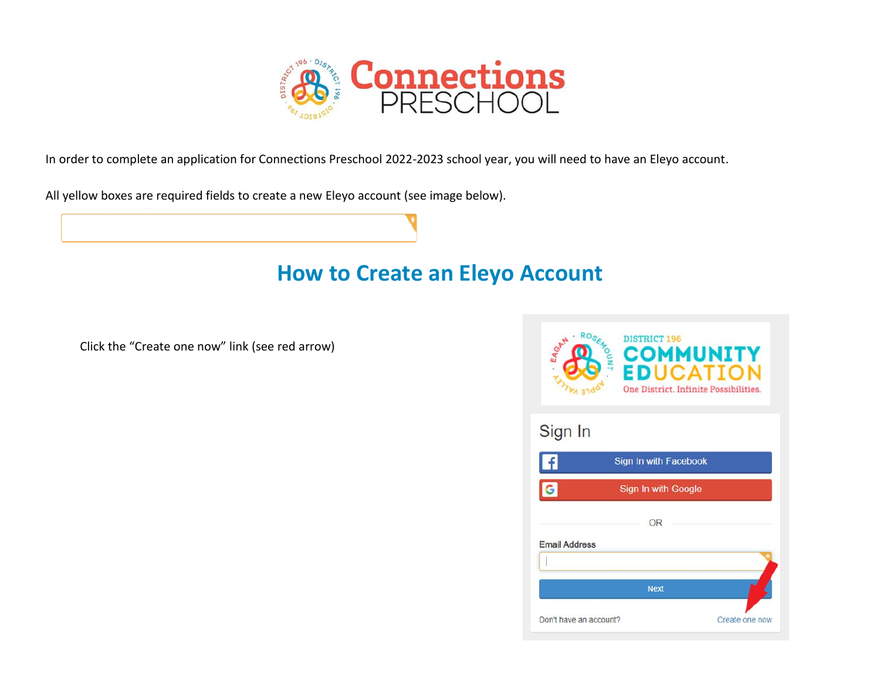

In order to complete an application for Connections Preschool 2022-2023 school year, you will need to have an Eleyo account.

All yellow boxes are required fields to create a new Eleyo account (see image below).

## **How to Create an Eleyo Account**

Click the "Create one now" link (see red arrow)

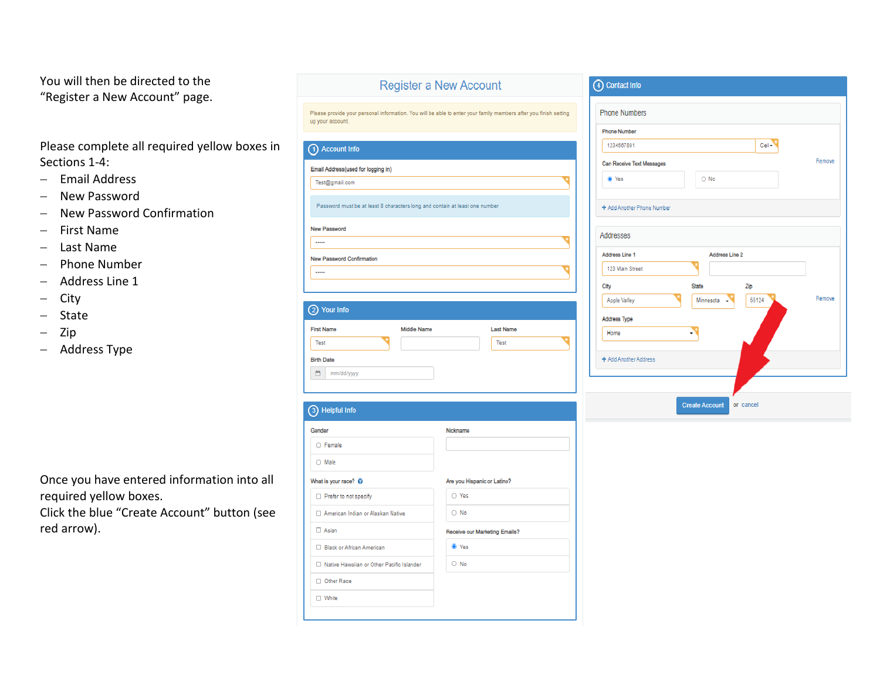You will then be directed to the "Register a New Account" page.

Please complete all required yellow boxes in Sections 1-4:

- Email Address
- New Password
- New Password Confirmation
- First Name
- Last Name
- Phone Number
- Address Line 1
- $-$  City
- State
- $-$  Zip
- Address Type

Once you have entered information into all required yellow boxes.

Click the blue "Create Account" button (see red arrow).

| up your account.                                                            | Please provide your personal information. You will be able to enter your family members after you finish setting |
|-----------------------------------------------------------------------------|------------------------------------------------------------------------------------------------------------------|
| 1) Account Info                                                             |                                                                                                                  |
| Email Address(used for logging in)                                          |                                                                                                                  |
| Test@gmail.com                                                              |                                                                                                                  |
| Password must be at least 8 characters long and contain at least one number |                                                                                                                  |
| New Password                                                                |                                                                                                                  |
| 1.1.1.1                                                                     |                                                                                                                  |
| New Password Confirmation                                                   |                                                                                                                  |
|                                                                             |                                                                                                                  |
|                                                                             |                                                                                                                  |
| 2 Your Info                                                                 |                                                                                                                  |
| <b>First Name</b><br>Middle Name                                            | <b>Last Name</b>                                                                                                 |
| Test                                                                        | Test                                                                                                             |
| <b>Birth Date</b>                                                           |                                                                                                                  |
| 酋<br>mm/dd/yyyy                                                             |                                                                                                                  |
|                                                                             |                                                                                                                  |
|                                                                             |                                                                                                                  |
| 3) Helpful Info                                                             |                                                                                                                  |
| Gender                                                                      | Nickname                                                                                                         |
| O Female                                                                    |                                                                                                                  |
| O Male                                                                      |                                                                                                                  |
| What is your race? @                                                        | Are you Hispanic or Latino?                                                                                      |
| Prefer to not specify                                                       | O Yes                                                                                                            |
| American Indian or Alaskan Native                                           | $\bigcirc$ No                                                                                                    |
| $\Box$ Asian                                                                | Receive our Marketing Emails?                                                                                    |
| □ Black or African American                                                 | <sup>O</sup> Yes                                                                                                 |
| □ Native Hawaiian or Other Pacific Islander                                 | $\bigcirc$ No                                                                                                    |
| Other Race                                                                  |                                                                                                                  |
| □ White                                                                     |                                                                                                                  |

**Register a New Account** 

| <b>Phone Numbers</b>       |                |          |        |
|----------------------------|----------------|----------|--------|
| <b>Phone Number</b>        |                |          |        |
| 1234567891                 |                | $Cell -$ |        |
| Can Receive Text Messages  |                |          | Remove |
| O Yes                      | $\bigcirc$ No  |          |        |
| + Add Another Phone Number |                |          |        |
| <b>Addresses</b>           |                |          |        |
| Address Line 1             | Address Line 2 |          |        |
| 123 Main Street            |                |          |        |
| City                       | <b>State</b>   | Zip      |        |
| Apple Valley               | Minnesota      | 55124    | Remove |
| <b>Address Type</b>        |                |          |        |
| Home                       |                |          |        |
|                            |                |          |        |
| + Add Another Address      |                |          |        |
|                            |                |          |        |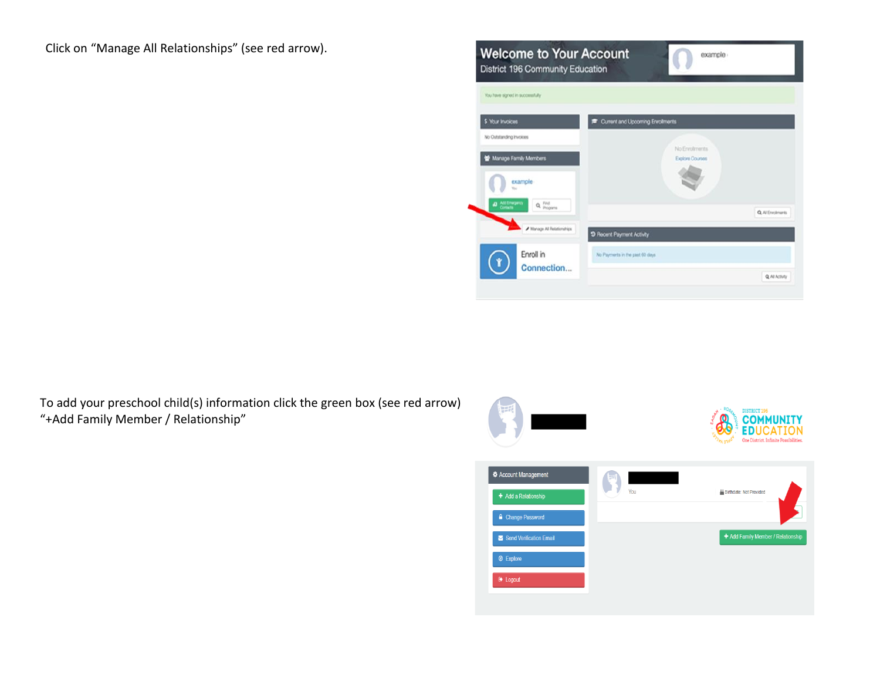Click on "Manage All Relationships" (see red arrow).



To add your preschool child(s) information click the green box (see red arrow) "+Add Family Member / Relationship"

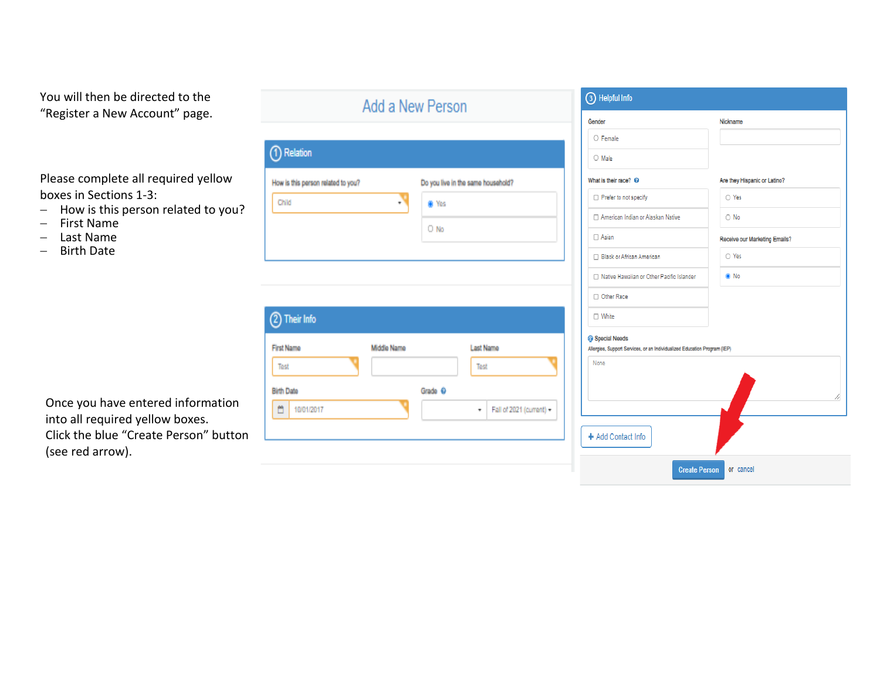## You will then be directed to the "Register a New Account" page.

Please complete all required yellow boxes in Sections 1-3:

- $-$  How is this person related to you?
- First Name<br>- Last Name
- Last Name
- Birth Date

| 1) Relation                          |             |                                    |                          |                             |
|--------------------------------------|-------------|------------------------------------|--------------------------|-----------------------------|
|                                      |             |                                    |                          |                             |
| How is this person related to you?   |             | Do you live in the same household? |                          | What is                     |
| Child                                | ÷           | W Yes                              |                          |                             |
|                                      |             | O No                               |                          |                             |
|                                      |             |                                    |                          |                             |
|                                      |             |                                    |                          |                             |
|                                      |             |                                    |                          |                             |
|                                      |             |                                    |                          |                             |
|                                      |             |                                    |                          |                             |
| 2) Their Info                        |             |                                    |                          |                             |
| <b>First Name</b>                    | Middle Name | <b>Last Name</b>                   |                          |                             |
| Test                                 |             | Test                               |                          |                             |
|                                      |             |                                    |                          |                             |
| <b>Birth Date</b><br>Ö<br>10/01/2017 |             | Grade ©<br>٠                       | Fall of 2021 (current) - | <b>G</b> Spec<br>Allergies, |

| Gender                                                                                                      | Nickname                      |
|-------------------------------------------------------------------------------------------------------------|-------------------------------|
| O Female                                                                                                    |                               |
| $\bigcirc$ Male                                                                                             |                               |
| What is their race? <sup>©</sup>                                                                            | Are they Hispanic or Latino?  |
| Prefer to not specify                                                                                       | O Yes                         |
| □ American Indian or Alaskan Native                                                                         | $\bigcirc$ No                 |
| $\Box$ Asian                                                                                                | Receive our Marketing Emails? |
| □ Black or African American                                                                                 | O Yes                         |
| □ Native Hawaiian or Other Pacific Islander                                                                 | ® No                          |
| □ Other Race                                                                                                |                               |
| □ White                                                                                                     |                               |
| <b>G</b> Special Needs<br>Allergies, Support Services, or an Individualized Education Program (IEP)<br>None |                               |
|                                                                                                             |                               |

Once you have entered information into all required yellow boxes. Click the blue "Create Person" button (see red arrow).